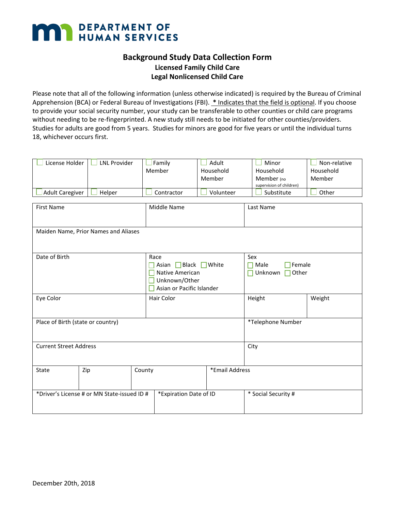

## **Background Study Data Collection Form Licensed Family Child Care Legal Nonlicensed Child Care**

Please note that all of the following information (unless otherwise indicated) is required by the Bureau of Criminal Apprehension (BCA) or Federal Bureau of Investigations (FBI). **\*** Indicates that the field is optional. If you choose to provide your social security number, your study can be transferable to other counties or child care programs without needing to be re-fingerprinted. A new study still needs to be initiated for other counties/providers. Studies for adults are good from 5 years. Studies for minors are good for five years or until the individual turns 18, whichever occurs first.

| License Holder<br><b>Adult Caregiver</b> | <b>LNL Provider</b><br>Helper               | $\mathsf{\mathsf{I}}$ Family<br>Member<br>Contractor | Adult<br>Household<br>Member<br>Volunteer                                          | Minor<br>Household<br>Member (no<br>supervision of children)<br>Substitute | Non-relative<br>Household<br>Member<br>Other         |  |  |
|------------------------------------------|---------------------------------------------|------------------------------------------------------|------------------------------------------------------------------------------------|----------------------------------------------------------------------------|------------------------------------------------------|--|--|
| <b>First Name</b>                        |                                             | Middle Name                                          |                                                                                    |                                                                            | Last Name                                            |  |  |
| Maiden Name, Prior Names and Aliases     |                                             |                                                      |                                                                                    |                                                                            |                                                      |  |  |
| Date of Birth                            |                                             | Race                                                 | Asian Black White<br>Native American<br>Unknown/Other<br>Asian or Pacific Islander |                                                                            | Sex<br>Female<br>Male<br>n.<br>Unknown<br>Other<br>П |  |  |
| Eye Color                                |                                             | Hair Color                                           |                                                                                    |                                                                            | Weight                                               |  |  |
| Place of Birth (state or country)        |                                             |                                                      |                                                                                    |                                                                            | *Telephone Number                                    |  |  |
| <b>Current Street Address</b>            |                                             |                                                      |                                                                                    | City                                                                       |                                                      |  |  |
| State                                    | Zip                                         | County                                               | *Email Address                                                                     |                                                                            |                                                      |  |  |
|                                          | *Driver's License # or MN State-issued ID # |                                                      | *Expiration Date of ID                                                             |                                                                            | * Social Security #                                  |  |  |